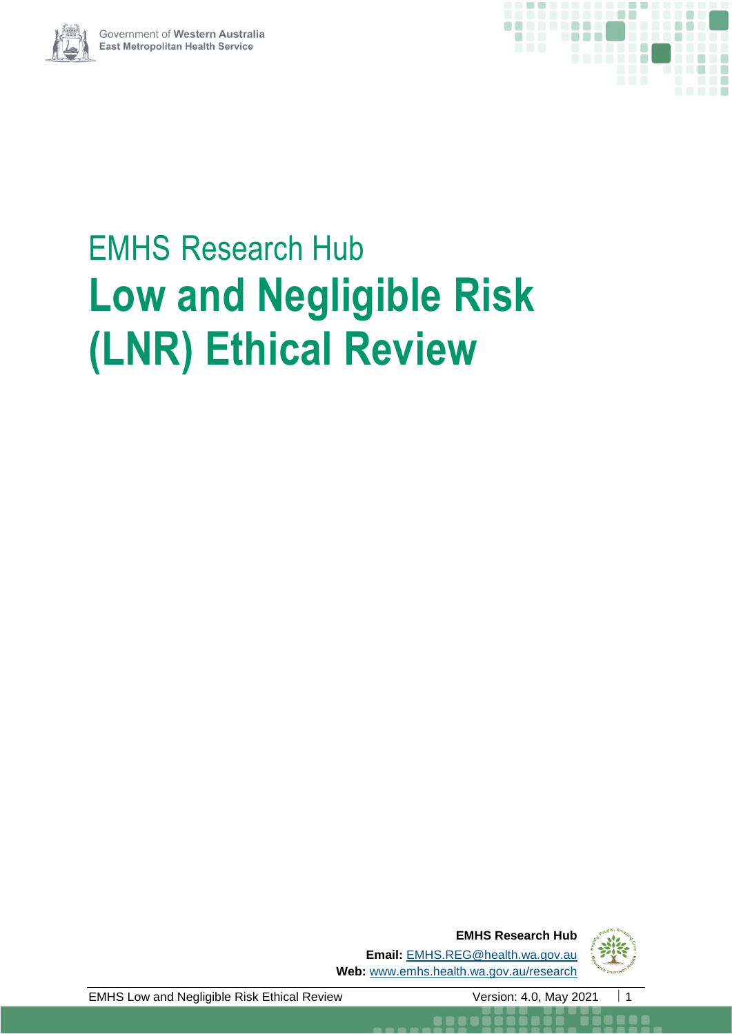



# EMHS Research Hub **Low and Negligible Risk (LNR) Ethical Review**

**EMHS Research Hub Email:** [EMHS.REG@health.wa.gov.au](mailto:SMHS.REG@health.wa.gov.au) **Web:** [www.emhs.health.wa.gov.au/research](http://www.emhs.health.wa.gov.au/research)



EMHS Low and Negligible Risk Ethical Review Version: 4.0, May 2021 | 1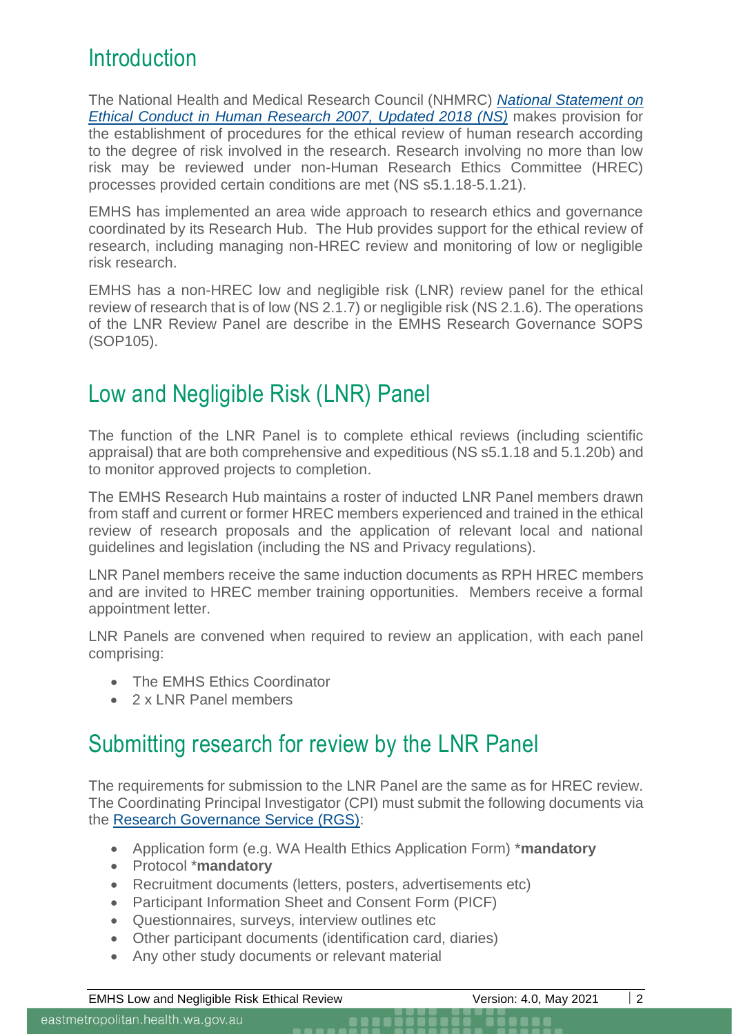#### **Introduction**

The National Health and Medical Research Council (NHMRC) *[National Statement](https://www.nhmrc.gov.au/about-us/publications/national-statement-ethical-conduct-human-research-2007-updated-2018#block-views-block-file-attachments-content-block-1) on [Ethical Conduct in Human Research 2007, Updated 2018 \(NS\)](https://www.nhmrc.gov.au/about-us/publications/national-statement-ethical-conduct-human-research-2007-updated-2018#block-views-block-file-attachments-content-block-1)* makes provision for the establishment of procedures for the ethical review of human research according to the degree of risk involved in the research. Research involving no more than low risk may be reviewed under non-Human Research Ethics Committee (HREC) processes provided certain conditions are met (NS s5.1.18-5.1.21).

EMHS has implemented an area wide approach to research ethics and governance coordinated by its Research Hub. The Hub provides support for the ethical review of research, including managing non-HREC review and monitoring of low or negligible risk research.

EMHS has a non-HREC low and negligible risk (LNR) review panel for the ethical review of research that is of low (NS 2.1.7) or negligible risk (NS 2.1.6). The operations of the LNR Review Panel are describe in the EMHS Research Governance SOPS (SOP105).

## Low and Negligible Risk (LNR) Panel

The function of the LNR Panel is to complete ethical reviews (including scientific appraisal) that are both comprehensive and expeditious (NS s5.1.18 and 5.1.20b) and to monitor approved projects to completion.

The EMHS Research Hub maintains a roster of inducted LNR Panel members drawn from staff and current or former HREC members experienced and trained in the ethical review of research proposals and the application of relevant local and national guidelines and legislation (including the NS and Privacy regulations).

LNR Panel members receive the same induction documents as RPH HREC members and are invited to HREC member training opportunities. Members receive a formal appointment letter.

LNR Panels are convened when required to review an application, with each panel comprising:

- The EMHS Ethics Coordinator
- 2 x LNR Panel members

## Submitting research for review by the LNR Panel

The requirements for submission to the LNR Panel are the same as for HREC review. The Coordinating Principal Investigator (CPI) must submit the following documents via the [Research Governance Service \(RGS\):](https://rgs.health.wa.gov.au/Pages/Home.aspx)

- Application form (e.g. WA Health Ethics Application Form) \***mandatory**
- Protocol \***mandatory**
- Recruitment documents (letters, posters, advertisements etc)
- Participant Information Sheet and Consent Form (PICF)
- Questionnaires, surveys, interview outlines etc
- Other participant documents (identification card, diaries)
- Any other study documents or relevant material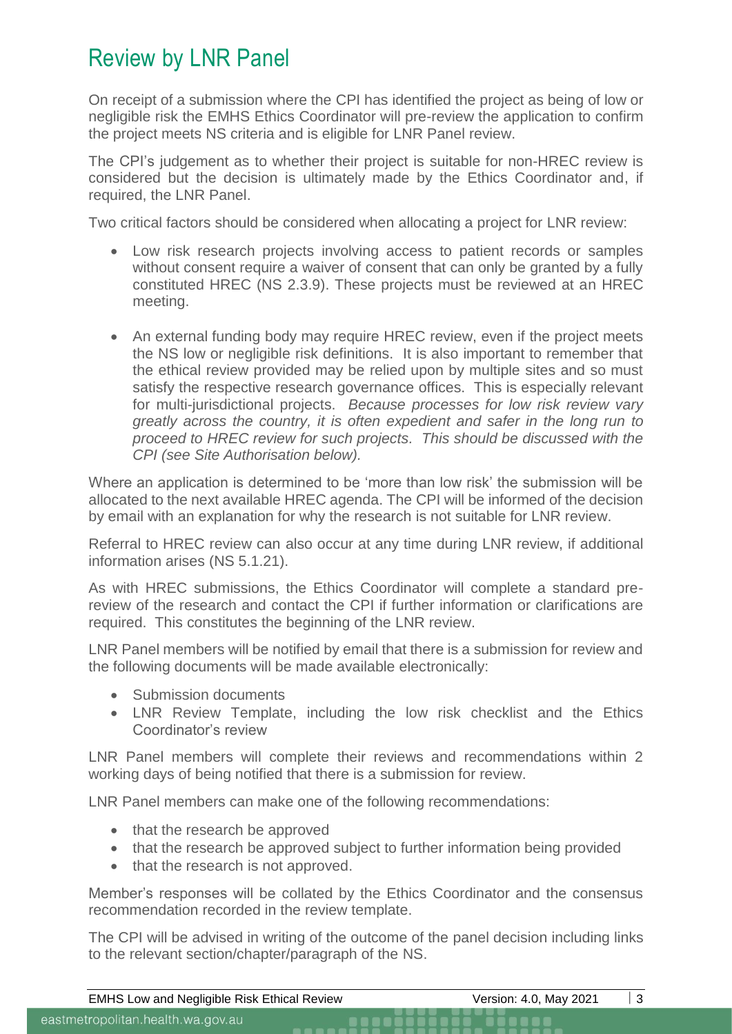### Review by LNR Panel

On receipt of a submission where the CPI has identified the project as being of low or negligible risk the EMHS Ethics Coordinator will pre-review the application to confirm the project meets NS criteria and is eligible for LNR Panel review.

The CPI's judgement as to whether their project is suitable for non-HREC review is considered but the decision is ultimately made by the Ethics Coordinator and, if required, the LNR Panel.

Two critical factors should be considered when allocating a project for LNR review:

- Low risk research projects involving access to patient records or samples without consent require a waiver of consent that can only be granted by a fully constituted HREC (NS 2.3.9). These projects must be reviewed at an HREC meeting.
- An external funding body may require HREC review, even if the project meets the NS low or negligible risk definitions. It is also important to remember that the ethical review provided may be relied upon by multiple sites and so must satisfy the respective research governance offices. This is especially relevant for multi-jurisdictional projects. *Because processes for low risk review vary greatly across the country, it is often expedient and safer in the long run to proceed to HREC review for such projects. This should be discussed with the CPI (see Site Authorisation below).*

Where an application is determined to be 'more than low risk' the submission will be allocated to the next available HREC agenda. The CPI will be informed of the decision by email with an explanation for why the research is not suitable for LNR review.

Referral to HREC review can also occur at any time during LNR review, if additional information arises (NS 5.1.21).

As with HREC submissions, the Ethics Coordinator will complete a standard prereview of the research and contact the CPI if further information or clarifications are required. This constitutes the beginning of the LNR review.

LNR Panel members will be notified by email that there is a submission for review and the following documents will be made available electronically:

- Submission documents
- LNR Review Template, including the low risk checklist and the Ethics Coordinator's review

LNR Panel members will complete their reviews and recommendations within 2 working days of being notified that there is a submission for review.

LNR Panel members can make one of the following recommendations:

- that the research be approved
- that the research be approved subject to further information being provided
- that the research is not approved.

Member's responses will be collated by the Ethics Coordinator and the consensus recommendation recorded in the review template.

The CPI will be advised in writing of the outcome of the panel decision including links to the relevant section/chapter/paragraph of the NS.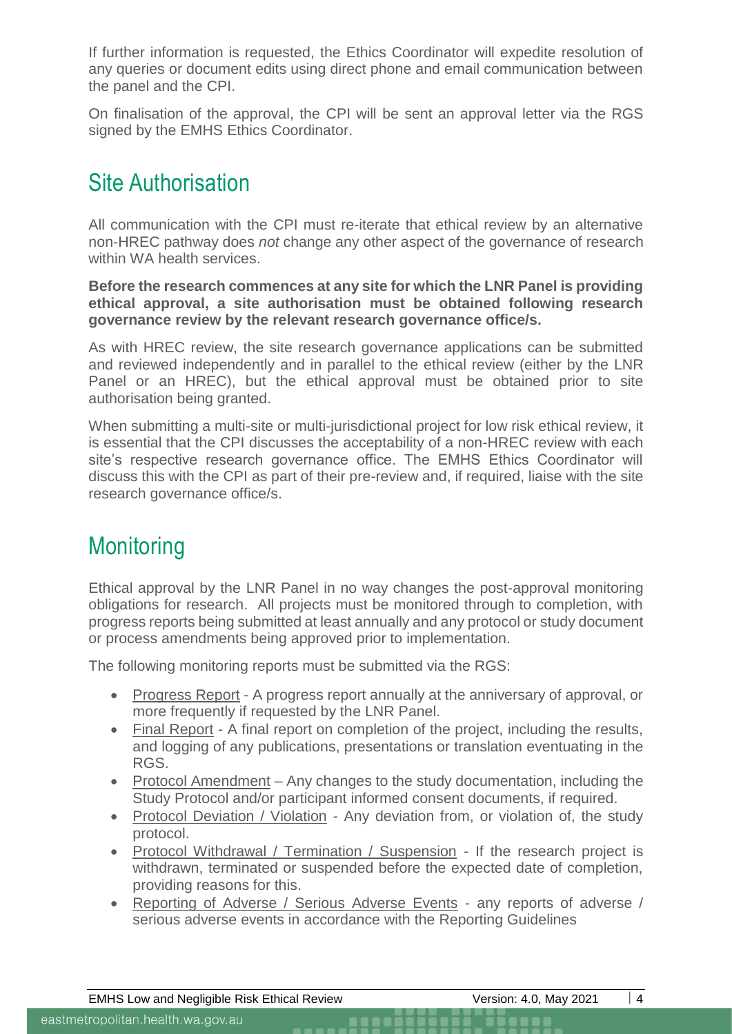If further information is requested, the Ethics Coordinator will expedite resolution of any queries or document edits using direct phone and email communication between the panel and the CPI.

On finalisation of the approval, the CPI will be sent an approval letter via the RGS signed by the EMHS Ethics Coordinator.

## Site Authorisation

All communication with the CPI must re-iterate that ethical review by an alternative non-HREC pathway does *not* change any other aspect of the governance of research within WA health services.

**Before the research commences at any site for which the LNR Panel is providing ethical approval, a site authorisation must be obtained following research governance review by the relevant research governance office/s.**

As with HREC review, the site research governance applications can be submitted and reviewed independently and in parallel to the ethical review (either by the LNR Panel or an HREC), but the ethical approval must be obtained prior to site authorisation being granted.

When submitting a multi-site or multi-jurisdictional project for low risk ethical review, it is essential that the CPI discusses the acceptability of a non-HREC review with each site's respective research governance office. The EMHS Ethics Coordinator will discuss this with the CPI as part of their pre-review and, if required, liaise with the site research governance office/s.

## **Monitoring**

Ethical approval by the LNR Panel in no way changes the post-approval monitoring obligations for research. All projects must be monitored through to completion, with progress reports being submitted at least annually and any protocol or study document or process amendments being approved prior to implementation.

The following monitoring reports must be submitted via the RGS:

- Progress Report A progress report annually at the anniversary of approval, or more frequently if requested by the LNR Panel.
- Final Report A final report on completion of the project, including the results, and logging of any publications, presentations or translation eventuating in the RGS.
- Protocol Amendment Any changes to the study documentation, including the Study Protocol and/or participant informed consent documents, if required.
- Protocol Deviation / Violation Any deviation from, or violation of, the study protocol.
- Protocol Withdrawal / Termination / Suspension If the research project is withdrawn, terminated or suspended before the expected date of completion, providing reasons for this.
- Reporting of Adverse / Serious Adverse Events any reports of adverse / serious adverse events in accordance with the Reporting Guidelines